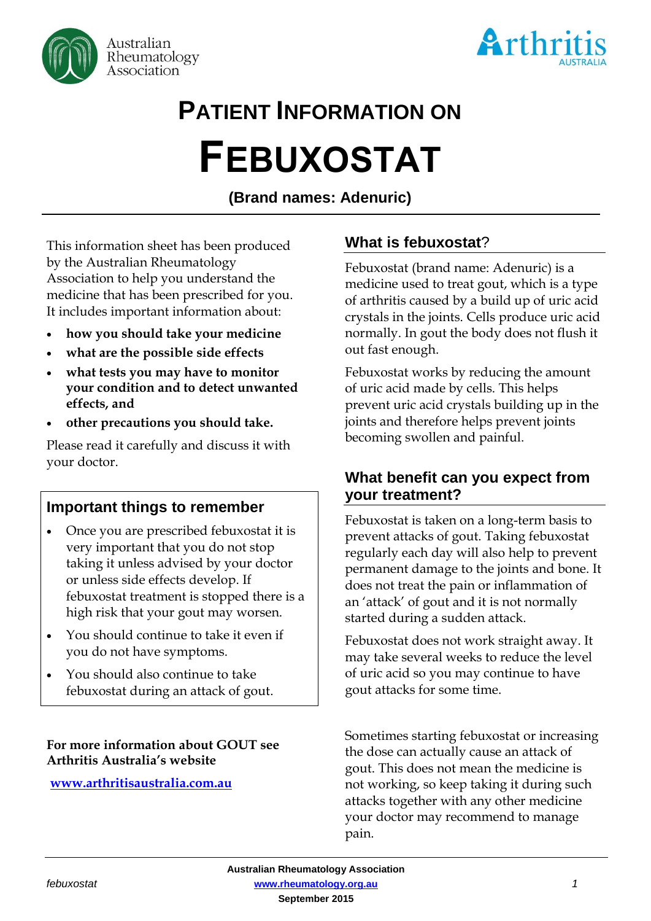



# **PATIENT INFORMATION ON**

# **FEBUXOSTAT**

**(Brand names: Adenuric)**

This information sheet has been produced by the Australian Rheumatology Association to help you understand the medicine that has been prescribed for you. It includes important information about:

- **how you should take your medicine**
- **what are the possible side effects**
- **what tests you may have to monitor your condition and to detect unwanted effects, and**
- **other precautions you should take.**

Please read it carefully and discuss it with your doctor.

# **Important things to remember**

- Once you are prescribed febuxostat it is very important that you do not stop taking it unless advised by your doctor or unless side effects develop. If febuxostat treatment is stopped there is a high risk that your gout may worsen.
- You should continue to take it even if you do not have symptoms.
- You should also continue to take febuxostat during an attack of gout.

#### **For more information about GOUT see Arthritis Australia's website**

**[www.arthritisaustralia.com.au](http://www.arthritisaustralia.com.au/index.php/arthritis-information/information-sheets.html)**

# **What is febuxostat**?

Febuxostat (brand name: Adenuric) is a medicine used to treat gout, which is a type of arthritis caused by a build up of uric acid crystals in the joints. Cells produce uric acid normally. In gout the body does not flush it out fast enough.

Febuxostat works by reducing the amount of uric acid made by cells. This helps prevent uric acid crystals building up in the joints and therefore helps prevent joints becoming swollen and painful.

# **What benefit can you expect from your treatment?**

Febuxostat is taken on a long-term basis to prevent attacks of gout. Taking febuxostat regularly each day will also help to prevent permanent damage to the joints and bone. It does not treat the pain or inflammation of an 'attack' of gout and it is not normally started during a sudden attack.

Febuxostat does not work straight away. It may take several weeks to reduce the level of uric acid so you may continue to have gout attacks for some time.

Sometimes starting febuxostat or increasing the dose can actually cause an attack of gout. This does not mean the medicine is not working, so keep taking it during such attacks together with any other medicine your doctor may recommend to manage pain.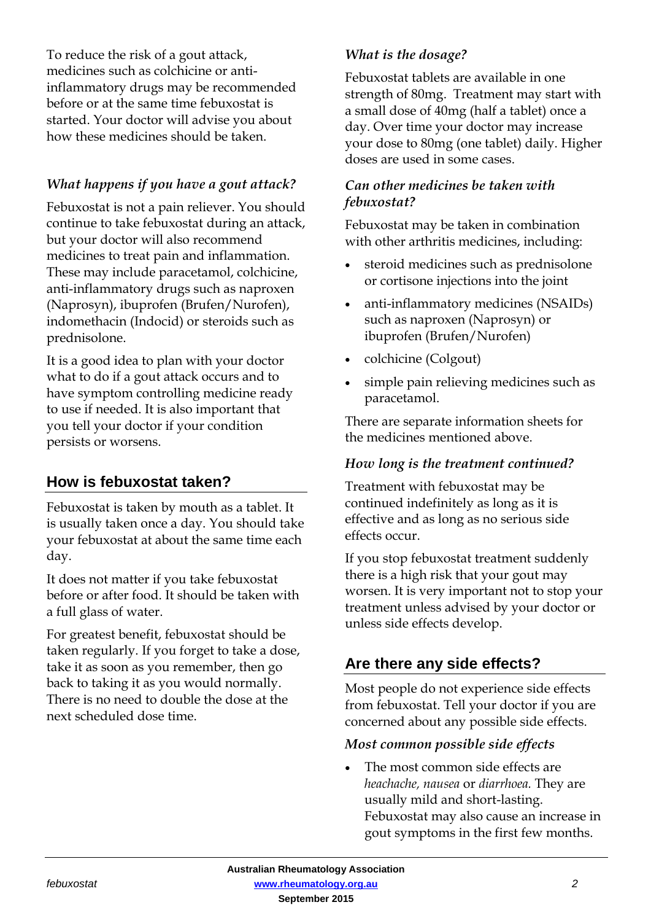To reduce the risk of a gout attack, medicines such as colchicine or antiinflammatory drugs may be recommended before or at the same time febuxostat is started. Your doctor will advise you about how these medicines should be taken.

# *What happens if you have a gout attack?*

Febuxostat is not a pain reliever. You should continue to take febuxostat during an attack, but your doctor will also recommend medicines to treat pain and inflammation. These may include paracetamol, colchicine, anti-inflammatory drugs such as naproxen (Naprosyn), ibuprofen (Brufen/Nurofen), indomethacin (Indocid) or steroids such as prednisolone.

It is a good idea to plan with your doctor what to do if a gout attack occurs and to have symptom controlling medicine ready to use if needed. It is also important that you tell your doctor if your condition persists or worsens.

# **How is febuxostat taken?**

Febuxostat is taken by mouth as a tablet. It is usually taken once a day. You should take your febuxostat at about the same time each day.

It does not matter if you take febuxostat before or after food. It should be taken with a full glass of water.

For greatest benefit, febuxostat should be taken regularly. If you forget to take a dose, take it as soon as you remember, then go back to taking it as you would normally. There is no need to double the dose at the next scheduled dose time.

### *What is the dosage?*

Febuxostat tablets are available in one strength of 80mg. Treatment may start with a small dose of 40mg (half a tablet) once a day. Over time your doctor may increase your dose to 80mg (one tablet) daily. Higher doses are used in some cases.

#### *Can other medicines be taken with febuxostat?*

Febuxostat may be taken in combination with other arthritis medicines, including:

- steroid medicines such as prednisolone or cortisone injections into the joint
- anti-inflammatory medicines (NSAIDs) such as naproxen (Naprosyn) or ibuprofen (Brufen/Nurofen)
- colchicine (Colgout)
- simple pain relieving medicines such as paracetamol.

There are separate information sheets for the medicines mentioned above.

#### *How long is the treatment continued?*

Treatment with febuxostat may be continued indefinitely as long as it is effective and as long as no serious side effects occur.

If you stop febuxostat treatment suddenly there is a high risk that your gout may worsen. It is very important not to stop your treatment unless advised by your doctor or unless side effects develop.

# **Are there any side effects?**

Most people do not experience side effects from febuxostat. Tell your doctor if you are concerned about any possible side effects.

#### *Most common possible side effects*

• The most common side effects are *heachache, nausea* or *diarrhoea.* They are usually mild and short-lasting. Febuxostat may also cause an increase in gout symptoms in the first few months.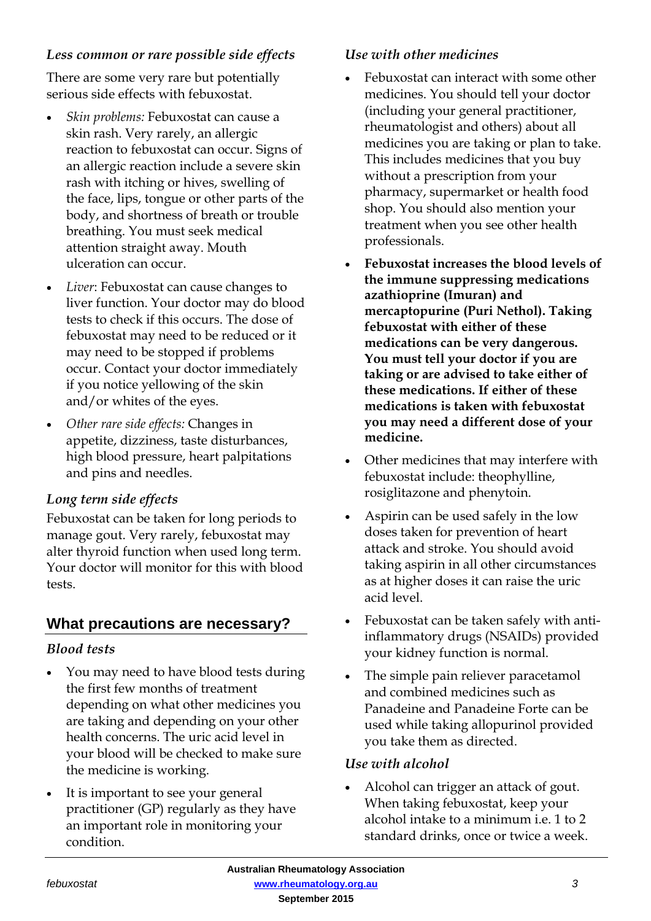### *Less common or rare possible side effects*

There are some very rare but potentially serious side effects with febuxostat.

- *Skin problems:* Febuxostat can cause a skin rash. Very rarely, an allergic reaction to febuxostat can occur. Signs of an allergic reaction include a severe skin rash with itching or hives, swelling of the face, lips, tongue or other parts of the body, and shortness of breath or trouble breathing. You must seek medical attention straight away. Mouth ulceration can occur.
- *Liver*: Febuxostat can cause changes to liver function. Your doctor may do blood tests to check if this occurs. The dose of febuxostat may need to be reduced or it may need to be stopped if problems occur. Contact your doctor immediately if you notice yellowing of the skin and/or whites of the eyes.
- *Other rare side effects:* Changes in appetite, dizziness, taste disturbances, high blood pressure, heart palpitations and pins and needles.

# *Long term side effects*

Febuxostat can be taken for long periods to manage gout. Very rarely, febuxostat may alter thyroid function when used long term. Your doctor will monitor for this with blood tests.

# **What precautions are necessary?**

#### *Blood tests*

- You may need to have blood tests during the first few months of treatment depending on what other medicines you are taking and depending on your other health concerns. The uric acid level in your blood will be checked to make sure the medicine is working.
- It is important to see your general practitioner (GP) regularly as they have an important role in monitoring your condition.

# *Use with other medicines*

- Febuxostat can interact with some other medicines. You should tell your doctor (including your general practitioner, rheumatologist and others) about all medicines you are taking or plan to take. This includes medicines that you buy without a prescription from your pharmacy, supermarket or health food shop. You should also mention your treatment when you see other health professionals.
- **Febuxostat increases the blood levels of the immune suppressing medications azathioprine (Imuran) and mercaptopurine (Puri Nethol). Taking febuxostat with either of these medications can be very dangerous. You must tell your doctor if you are taking or are advised to take either of these medications. If either of these medications is taken with febuxostat you may need a different dose of your medicine.**
- Other medicines that may interfere with febuxostat include: theophylline, rosiglitazone and phenytoin.
- Aspirin can be used safely in the low doses taken for prevention of heart attack and stroke. You should avoid taking aspirin in all other circumstances as at higher doses it can raise the uric acid level.
- Febuxostat can be taken safely with antiinflammatory drugs (NSAIDs) provided your kidney function is normal.
- The simple pain reliever paracetamol and combined medicines such as Panadeine and Panadeine Forte can be used while taking allopurinol provided you take them as directed.

#### *Use with alcohol*

 Alcohol can trigger an attack of gout. When taking febuxostat, keep your alcohol intake to a minimum i.e. 1 to 2 standard drinks, once or twice a week.